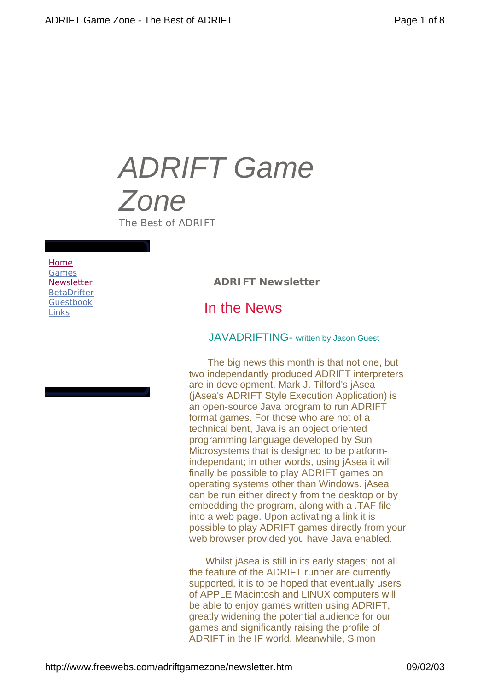# *ADRIFT Game Zone The Best of ADRIFT*

#### *Home Games Newsletter BetaDrifter Guestbook Links*

*ADRIFT Newsletter*

# In the News

## JAVADRIFTING- written by Jason Guest

 The big news this month is that not one, but two independantly produced ADRIFT interpreters are in development. Mark J. Tilford's jAsea (jAsea's ADRIFT Style Execution Application) is an open-source Java program to run ADRIFT format games. For those who are not of a technical bent, Java is an object oriented programming language developed by Sun Microsystems that is designed to be platformindependant; in other words, using jAsea it will finally be possible to play ADRIFT games on operating systems other than Windows. jAsea can be run either directly from the desktop or by embedding the program, along with a .TAF file into a web page. Upon activating a link it is possible to play ADRIFT games directly from your web browser provided you have Java enabled.

 Whilst jAsea is still in its early stages; not all the feature of the ADRIFT runner are currently supported, it is to be hoped that eventually users of APPLE Macintosh and LINUX computers will be able to enjoy games written using ADRIFT, greatly widening the potential audience for our games and significantly raising the profile of ADRIFT in the IF world. Meanwhile, Simon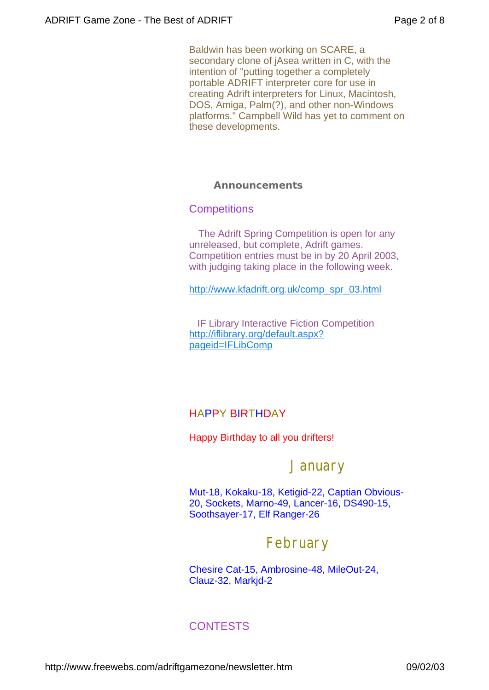Baldwin has been working on SCARE, a secondary clone of jAsea written in C, with the intention of "putting together a completely portable ADRIFT interpreter core for use in creating Adrift interpreters for Linux, Macintosh, DOS, Amiga, Palm(?), and other non-Windows platforms." Campbell Wild has yet to comment on these developments.

## *Announcements*

## **Competitions**

 The Adrift Spring Competition is open for any unreleased, but complete, Adrift games. Competition entries must be in by 20 April 2003, with judging taking place in the following week.

http://www.kfadrift.org.uk/comp\_spr\_03.html

 IF Library Interactive Fiction Competition http://iflibrary.org/default.aspx? pageid=IFLibComp

# HAPPY BIRTHDAY

Happy Birthday to all you drifters!

# **January**

Mut-18, Kokaku-18, Ketigid-22, Captian Obvious-20, Sockets, Marno-49, Lancer-16, DS490-15, Soothsayer-17, Elf Ranger-26

# February

Chesire Cat-15, Ambrosine-48, MileOut-24, Clauz-32, Markjd-2

# **CONTESTS**

http://www.freewebs.com/adriftgamezone/newsletter.htm 09/02/03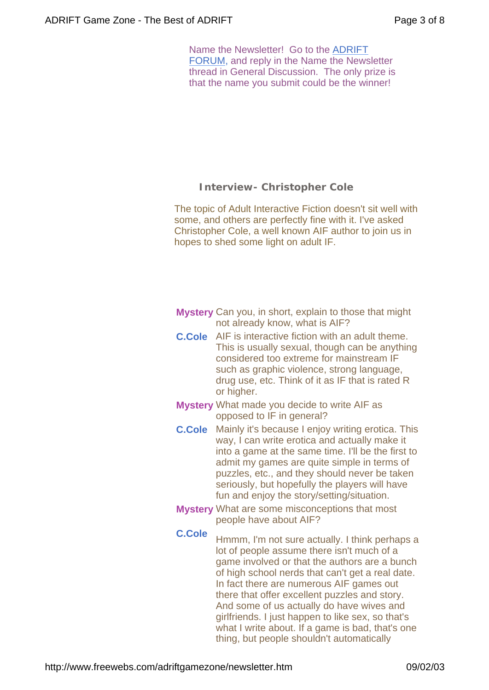Name the Newsletter! Go to the ADRIFT FORUM, and reply in the Name the Newsletter thread in General Discussion. The only prize is that the name you submit could be the winner!

## *Interview- Christopher Cole*

The topic of Adult Interactive Fiction doesn't sit well with some, and others are perfectly fine with it. I've asked Christopher Cole, a well known AIF author to join us in hopes to shed some light on adult IF.

- **Mystery** Can you, in short, explain to those that might not already know, what is AIF?
- **C.Cole** AIF is interactive fiction with an adult theme. This is usually sexual, though can be anything considered too extreme for mainstream IF such as graphic violence, strong language, drug use, etc. Think of it as IF that is rated R or higher.
- **Mystery** What made you decide to write AIF as opposed to IF in general?
- **C.Cole** Mainly it's because I enjoy writing erotica. This way, I can write erotica and actually make it into a game at the same time. I'll be the first to admit my games are quite simple in terms of puzzles, etc., and they should never be taken seriously, but hopefully the players will have fun and enjoy the story/setting/situation.
- **Mystery** What are some misconceptions that most people have about AIF?
- 

**C.Cole** Hmmm, I'm not sure actually. I think perhaps a lot of people assume there isn't much of a game involved or that the authors are a bunch of high school nerds that can't get a real date. In fact there are numerous AIF games out there that offer excellent puzzles and story. And some of us actually do have wives and girlfriends. I just happen to like sex, so that's what I write about. If a game is bad, that's one thing, but people shouldn't automatically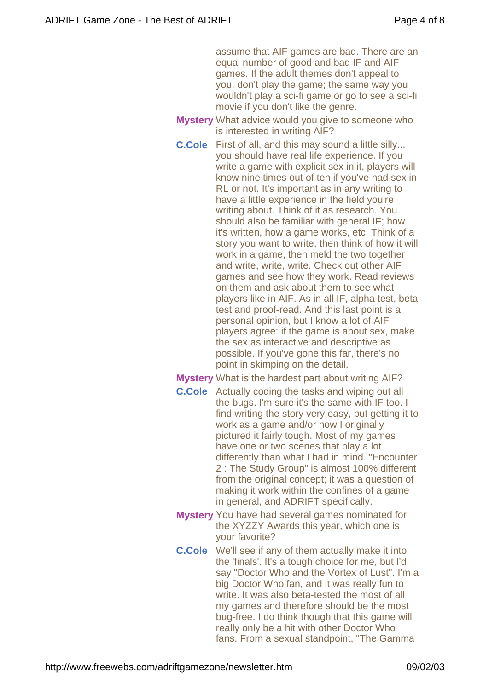assume that AIF games are bad. There are an equal number of good and bad IF and AIF games. If the adult themes don't appeal to you, don't play the game; the same way you wouldn't play a sci-fi game or go to see a sci-fi movie if you don't like the genre.

- **Mystery** What advice would you give to someone who is interested in writing AIF?
- **C.Cole** First of all, and this may sound a little silly... you should have real life experience. If you write a game with explicit sex in it, players will know nine times out of ten if you've had sex in RL or not. It's important as in any writing to have a little experience in the field you're writing about. Think of it as research. You should also be familiar with general IF; how it's written, how a game works, etc. Think of a story you want to write, then think of how it will work in a game, then meld the two together and write, write, write. Check out other AIF games and see how they work. Read reviews on them and ask about them to see what players like in AIF. As in all IF, alpha test, beta test and proof-read. And this last point is a personal opinion, but I know a lot of AIF players agree: if the game is about sex, make the sex as interactive and descriptive as possible. If you've gone this far, there's no point in skimping on the detail.
- **Mystery** What is the hardest part about writing AIF?
- **C.Cole** Actually coding the tasks and wiping out all the bugs. I'm sure it's the same with IF too. I find writing the story very easy, but getting it to work as a game and/or how I originally pictured it fairly tough. Most of my games have one or two scenes that play a lot differently than what I had in mind. "Encounter 2 : The Study Group" is almost 100% different from the original concept; it was a question of making it work within the confines of a game in general, and ADRIFT specifically.
- **Mystery** You have had several games nominated for the XYZZY Awards this year, which one is your favorite?
- **C.Cole** We'll see if any of them actually make it into the 'finals'. It's a tough choice for me, but I'd say "Doctor Who and the Vortex of Lust". I'm a big Doctor Who fan, and it was really fun to write. It was also beta-tested the most of all my games and therefore should be the most bug-free. I do think though that this game will really only be a hit with other Doctor Who fans. From a sexual standpoint, "The Gamma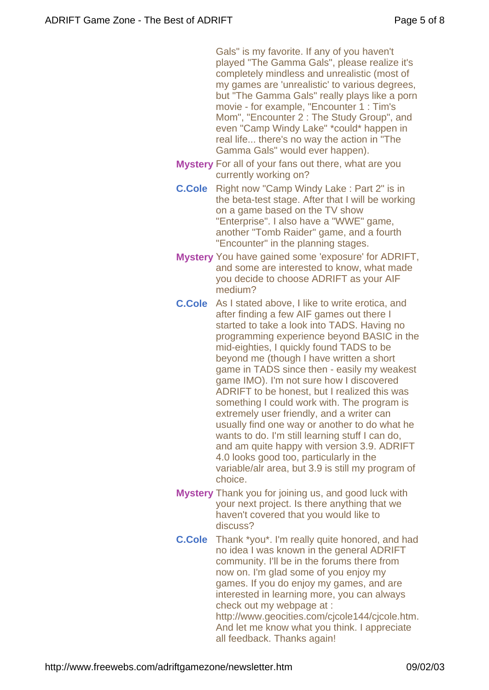Gals" is my favorite. If any of you haven't played "The Gamma Gals", please realize it's completely mindless and unrealistic (most of my games are 'unrealistic' to various degrees, but "The Gamma Gals" really plays like a porn movie - for example, "Encounter 1 : Tim's Mom", "Encounter 2 : The Study Group", and even "Camp Windy Lake" \*could\* happen in real life... there's no way the action in "The Gamma Gals" would ever happen).

- **Mystery** For all of your fans out there, what are you currently working on?
- **C.Cole** Right now "Camp Windy Lake : Part 2" is in the beta-test stage. After that I will be working on a game based on the TV show "Enterprise". I also have a "WWE" game, another "Tomb Raider" game, and a fourth "Encounter" in the planning stages.
- **Mystery** You have gained some 'exposure' for ADRIFT, and some are interested to know, what made you decide to choose ADRIFT as your AIF medium?
- **C.Cole** As I stated above, I like to write erotica, and after finding a few AIF games out there I started to take a look into TADS. Having no programming experience beyond BASIC in the mid-eighties, I quickly found TADS to be beyond me (though I have written a short game in TADS since then - easily my weakest game IMO). I'm not sure how I discovered ADRIFT to be honest, but I realized this was something I could work with. The program is extremely user friendly, and a writer can usually find one way or another to do what he wants to do. I'm still learning stuff I can do, and am quite happy with version 3.9. ADRIFT 4.0 looks good too, particularly in the variable/alr area, but 3.9 is still my program of choice.
- **Mystery** Thank you for joining us, and good luck with your next project. Is there anything that we haven't covered that you would like to discuss?
- **C.Cole** Thank \*you\*. I'm really quite honored, and had no idea I was known in the general ADRIFT community. I'll be in the forums there from now on. I'm glad some of you enjoy my games. If you do enjoy my games, and are interested in learning more, you can always check out my webpage at : http://www.geocities.com/cjcole144/cjcole.htm. And let me know what you think. I appreciate all feedback. Thanks again!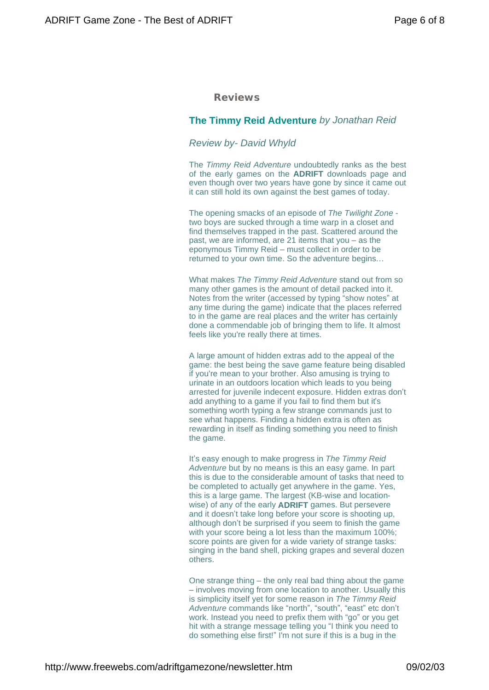#### *Reviews*

#### **The Timmy Reid Adventure** *by Jonathan Reid*

#### *Review by- David Whyld*

The *Timmy Reid Adventure* undoubtedly ranks as the best of the early games on the **ADRIFT** downloads page and even though over two years have gone by since it came out it can still hold its own against the best games of today.

The opening smacks of an episode of *The Twilight Zone* two boys are sucked through a time warp in a closet and find themselves trapped in the past. Scattered around the past, we are informed, are 21 items that you – as the eponymous Timmy Reid – must collect in order to be returned to your own time. So the adventure begins…

What makes *The Timmy Reid Adventure* stand out from so many other games is the amount of detail packed into it. Notes from the writer (accessed by typing "show notes"at any time during the game) indicate that the places referred to in the game are real places and the writer has certainly done a commendable job of bringing them to life. It almost feels like you're really there at times.

A large amount of hidden extras add to the appeal of the game: the best being the save game feature being disabled if you're mean to your brother. Also amusing is trying to urinate in an outdoors location which leads to you being arrested for juvenile indecent exposure. Hidden extras don't add anything to a game if you fail to find them but it's something worth typing a few strange commands just to see what happens. Finding a hidden extra is often as rewarding in itself as finding something you need to finish the game.

It's easy enough to make progress in *The Timmy Reid Adventure* but by no means is this an easy game. In part this is due to the considerable amount of tasks that need to be completed to actually get anywhere in the game. Yes, this is a large game. The largest (KB-wise and locationwise) of any of the early **ADRIFT** games. But persevere and it doesn't take long before your score is shooting up, although don't be surprised if you seem to finish the game with your score being a lot less than the maximum 100%; score points are given for a wide variety of strange tasks: singing in the band shell, picking grapes and several dozen others.

One strange thing – the only real bad thing about the game – involves moving from one location to another. Usually this is simplicity itself yet for some reason in *The Timmy Reid Adventure* commands like "north", "south", "east"etc don't work. Instead you need to prefix them with "go" or you get hit with a strange message telling you "I think you need to do something else first!" I'm not sure if this is a bug in the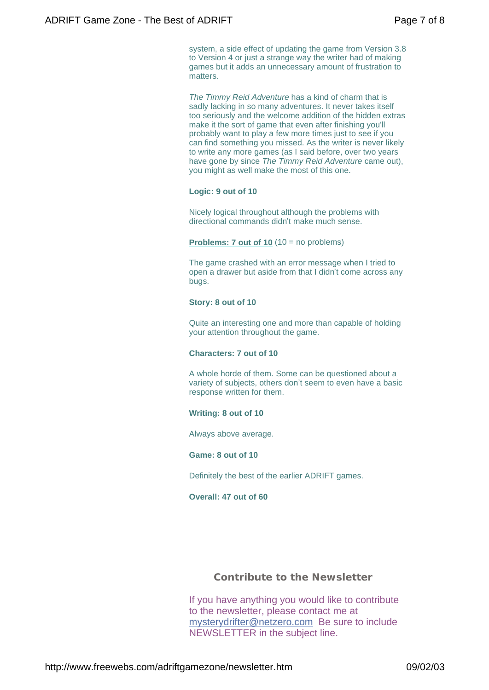system, a side effect of updating the game from Version 3.8 to Version 4 or just a strange way the writer had of making games but it adds an unnecessary amount of frustration to matters.

*The Timmy Reid Adventure* has a kind of charm that is sadly lacking in so many adventures. It never takes itself too seriously and the welcome addition of the hidden extras make it the sort of game that even after finishing you'll probably want to play a few more times just to see if you can find something you missed. As the writer is never likely to write any more games (as I said before, over two years have gone by since *The Timmy Reid Adventure* came out), you might as well make the most of this one.

#### **Logic: 9 out of 10**

Nicely logical throughout although the problems with directional commands didn't make much sense.

**Problems: 7 out of 10** (10 = no problems)

The game crashed with an error message when I tried to open a drawer but aside from that I didn't come across any bugs.

#### **Story: 8 out of 10**

Quite an interesting one and more than capable of holding your attention throughout the game.

#### **Characters: 7 out of 10**

A whole horde of them. Some can be questioned about a variety of subjects, others don't seem to even have a basic response written for them.

#### **Writing: 8 out of 10**

Always above average.

#### **Game: 8 out of 10**

Definitely the best of the earlier ADRIFT games.

#### **Overall: 47 out of 60**

#### *Contribute to the Newsletter*

If you have anything you would like to contribute to the newsletter, please contact me at mysterydrifter@netzero.com Be sure to include NEWSLETTER in the subject line.